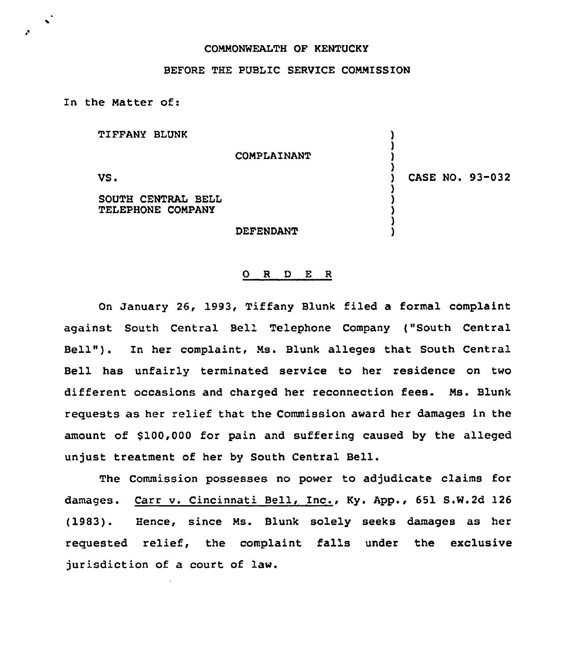### COMMONWEALTH OF KENTUCKY

#### BEFORE THE PUBLIC SERVICE COMMISSION

In the Matter of:

TIFFANY BLUNK

COMPLAINANT

VS.

 $\bullet$ 

SOUTH CENTRAL BELL TELEPHONE COMPANY

DEFENDANT

## ) CASE NO. 93-032

) ) ) )<br>)

> ) ) ) ) )

### 0 <sup>R</sup> <sup>D</sup> E <sup>R</sup>

On January 26, 1993, Tiffany Blunk filed a formal complaint against South Central Bell Telephone Company ("South Central Bell" ). In her complaint, Ms. Blunk alleges that South Central Bell has unfairly terminated service to her residence on two different occasions and charged her reconnection fees. Ms. Blunk requests as her relief that the Commission award her damages in the amount of \$100,000 for pain and suffering caused by the alleged unjust treatment of her by South Central Bell.

The Commission possesses no power to adjudicate claims for damages. Carr v. Cincinnati Bell, Inc., Ky. App., 651 S.W.2d 126 (1983). Hence, since Ms. Blunk solely seeks damages as her requested relief, the complaint falls under the exclusive jurisdiction of a court of law.